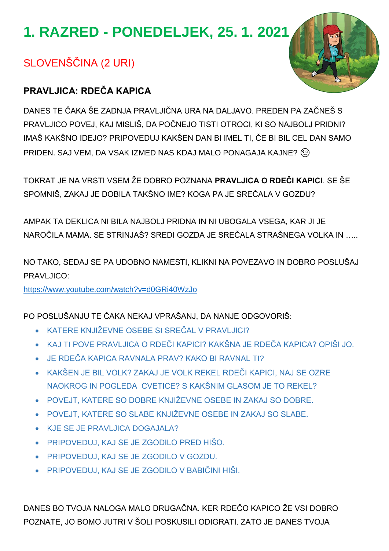# **1. RAZRED - PONEDELJEK, 25. 1. 2021**

# SLOVENŠČINA (2 URI)

## **PRAVLJICA: RDEČA KAPICA**

DANES TE ČAKA ŠE ZADNJA PRAVLJIČNA URA NA DALJAVO. PREDEN PA ZAČNEŠ S PRAVLJICO POVEJ, KAJ MISLIŠ, DA POČNEJO TISTI OTROCI, KI SO NAJBOLJ PRIDNI? IMAŠ KAKŠNO IDEJO? PRIPOVEDUJ KAKŠEN DAN BI IMEL TI, ČE BI BIL CEL DAN SAMO PRIDEN. SAJ VEM, DA VSAK IZMED NAS KDAJ MALO PONAGAJA KAJNE? (3)

TOKRAT JE NA VRSTI VSEM ŽE DOBRO POZNANA **PRAVLJICA O RDEČI KAPICI**. SE ŠE SPOMNIŠ, ZAKAJ JE DOBILA TAKŠNO IME? KOGA PA JE SREČALA V GOZDU?

AMPAK TA DEKLICA NI BILA NAJBOLJ PRIDNA IN NI UBOGALA VSEGA, KAR JI JE NAROČILA MAMA. SE STRINJAŠ? SREDI GOZDA JE SREČALA STRAŠNEGA VOLKA IN …..

NO TAKO, SEDAJ SE PA UDOBNO NAMESTI, KLIKNI NA POVEZAVO IN DOBRO POSLUŠAJ PRAVLJICO:

<https://www.youtube.com/watch?v=d0GRi40WzJo>

PO POSLUŠANJU TE ČAKA NEKAJ VPRAŠANJ, DA NANJE ODGOVORIŠ:

- KATERE KNJIŽEVNE OSEBE SI SREČAL V PRAVLJICI?
- KAJ TI POVE PRAVLJICA O RDEČI KAPICI? KAKŠNA JE RDEČA KAPICA? OPIŠI JO.
- JE RDEČA KAPICA RAVNALA PRAV? KAKO BI RAVNAL TI?
- KAKŠEN JE BIL VOLK? ZAKAJ JE VOLK REKEL RDEČI KAPICI, NAJ SE OZRE NAOKROG IN POGLEDA CVETICE? S KAKŠNIM GLASOM JE TO REKEL?
- POVEJT, KATERE SO DOBRE KNJIŽEVNE OSEBE IN ZAKAJ SO DOBRE.
- POVEJT, KATERE SO SLABE KNJIŽEVNE OSEBE IN ZAKAJ SO SLABE.
- KJE SE JE PRAVLJICA DOGAJALA?
- PRIPOVEDUJ, KAJ SE JE ZGODILO PRED HIŠO.
- PRIPOVEDUJ, KAJ SE JE ZGODILO V GOZDU.
- PRIPOVEDUJ, KAJ SE JE ZGODILO V BABIČINI HIŠI.

DANES BO TVOJA NALOGA MALO DRUGAČNA. KER RDEČO KAPICO ŽE VSI DOBRO POZNATE, JO BOMO JUTRI V ŠOLI POSKUSILI ODIGRATI. ZATO JE DANES TVOJA

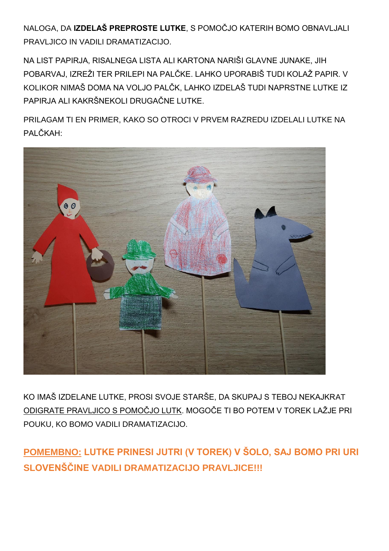NALOGA, DA **IZDELAŠ PREPROSTE LUTKE**, S POMOČJO KATERIH BOMO OBNAVLJALI PRAVLJICO IN VADILI DRAMATIZACIJO.

NA LIST PAPIRJA, RISALNEGA LISTA ALI KARTONA NARIŠI GLAVNE JUNAKE, JIH POBARVAJ, IZREŽI TER PRILEPI NA PALČKE. LAHKO UPORABIŠ TUDI KOLAŽ PAPIR. V KOLIKOR NIMAŠ DOMA NA VOLJO PALČK, LAHKO IZDELAŠ TUDI NAPRSTNE LUTKE IZ PAPIRJA ALI KAKRŠNEKOLI DRUGAČNE LUTKE.

PRILAGAM TI EN PRIMER, KAKO SO OTROCI V PRVEM RAZREDU IZDELALI LUTKE NA PALČKAH:



KO IMAŠ IZDELANE LUTKE, PROSI SVOJE STARŠE, DA SKUPAJ S TEBOJ NEKAJKRAT ODIGRATE PRAVLJICO S POMOČJO LUTK. MOGOČE TI BO POTEM V TOREK LAŽJE PRI POUKU, KO BOMO VADILI DRAMATIZACIJO.

**POMEMBNO: LUTKE PRINESI JUTRI (V TOREK) V ŠOLO, SAJ BOMO PRI URI SLOVENŠČINE VADILI DRAMATIZACIJO PRAVLJICE!!!**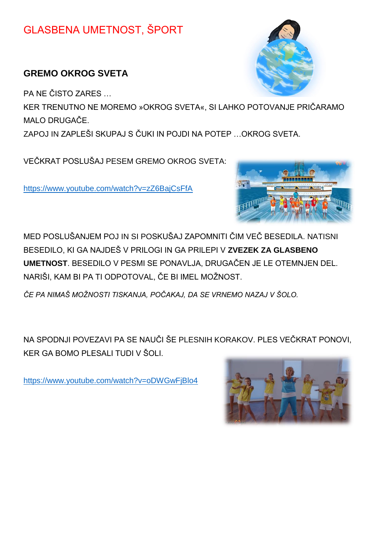## GLASBENA UMETNOST, ŠPORT

## **GREMO OKROG SVETA**

PA NE ČISTO ZARES …

KER TRENUTNO NE MOREMO »OKROG SVETA«, SI LAHKO POTOVANJE PRIČARAMO MALO DRUGAČE.

ZAPOJ IN ZAPLEŠI SKUPAJ S ČUKI IN POJDI NA POTEP …OKROG SVETA.

VEČKRAT POSLUŠAJ PESEM GREMO OKROG SVETA:

<https://www.youtube.com/watch?v=zZ6BajCsFfA>



MED POSLUŠANJEM POJ IN SI POSKUŠAJ ZAPOMNITI ČIM VEČ BESEDILA. NATISNI BESEDILO, KI GA NAJDEŠ V PRILOGI IN GA PRILEPI V **ZVEZEK ZA GLASBENO UMETNOST**. BESEDILO V PESMI SE PONAVLJA, DRUGAČEN JE LE OTEMNJEN DEL. NARIŠI, KAM BI PA TI ODPOTOVAL, ČE BI IMEL MOŽNOST.

*ČE PA NIMAŠ MOŽNOSTI TISKANJA, POČAKAJ, DA SE VRNEMO NAZAJ V ŠOLO.*

NA SPODNJI POVEZAVI PA SE NAUČI ŠE PLESNIH KORAKOV. PLES VEČKRAT PONOVI, KER GA BOMO PLESALI TUDI V ŠOLI.

<https://www.youtube.com/watch?v=oDWGwFjBlo4>